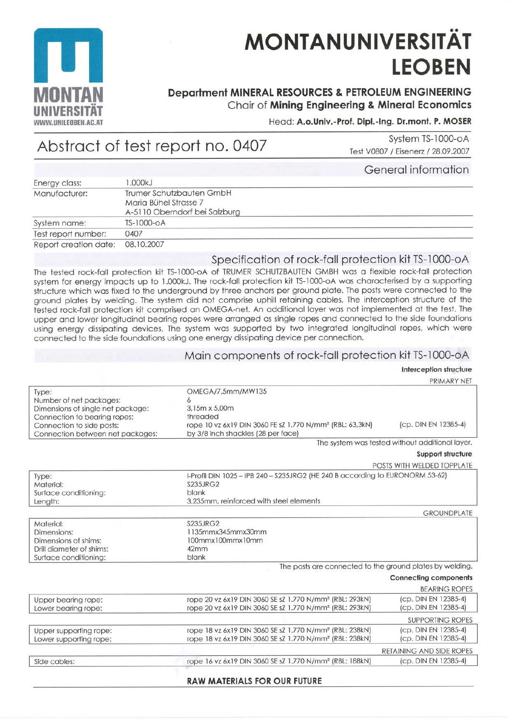

# **MONTANUNIVERSITÄT LEOBEN**

## Department MINERAL RESOURCES & PETROLEUM ENGINEERING Chair of Mining Engineering & Mineral Economics

### Head: A.o.Univ.-Prof. Dipl.-Ing. Dr.mont. P. MOSER

# Abstract of test report no. 0407

System TS-1000-oA Test V0807 / Eisenerz / 28.09.2007

General information

|                       |                               | <u>UUITULUI IITULITUITUTT</u> |
|-----------------------|-------------------------------|-------------------------------|
| Energy class:         | .000kJ                        |                               |
| Manufacturer:         | Trumer Schutzbauten GmbH      |                               |
|                       | Maria Bühel Strasse 7         |                               |
|                       | A-5110 Oberndorf bei Salzburg |                               |
| System name:          | TS-1000-0A                    |                               |
| Test report number:   | 0407                          |                               |
| Report creation date: | 08.10.2007                    |                               |

### Specification of rock-fall protection kit TS-1000-oA

The tested rock-fall protection kit TS-1000-oA of TRUMER SCHUTZBAUTEN GMBH was a flexible rock-fall protection system for energy impacts up to 1.000kJ. The rock-fall protection kit TS-1000-oA was characterised by a supporting structure which was fixed to the underground by three anchors per ground plate. The posts were connected to the ground plates by welding. The system did not comprise uphill retaining cables. The interception structure of the tested rock-fall protection kit comprised an OMEGA-net. An additional layer was not implemented at the test. The upper and lower longitudinal bearing ropes were arranged as single ropes and connected to the side foundations using energy dissipating devices. The system was supported by two integrated longitudinal ropes, which were connected to the side foundations using one energy dissipating device per connection.

#### Main components of rock-fall protection kit TS-1000-oA

#### Interception structure

|                                   |                                                                               | PRIMARY NET                                     |  |
|-----------------------------------|-------------------------------------------------------------------------------|-------------------------------------------------|--|
| Type:                             | OMEGA/7,5mm/MW135                                                             |                                                 |  |
| Number of net packages:           |                                                                               |                                                 |  |
| Dimensions of single net package: | 3,15m x 5,00m                                                                 |                                                 |  |
| Connection to bearing ropes:      | threaded                                                                      |                                                 |  |
| Connection to side posts:         | rope 10 vz 6x19 DIN 3060 FE sZ 1.770 N/mm <sup>2</sup> (RBL: 63,3kN)          | (cp. DIN EN 12385-4)                            |  |
| Connection between net packages:  | by 3/8 inch shackles (28 per face)                                            |                                                 |  |
|                                   |                                                                               | The system was tested without additional layer. |  |
|                                   |                                                                               | Support structure                               |  |
|                                   |                                                                               | POSTS WITH WELDED TOPPLATE                      |  |
| Type:                             | I-Profil DIN 1025 - IPB 240 - S235JRG2 (HE 240 B according to EURONORM 53-62) |                                                 |  |
| Material:                         | <b>S235JRG2</b>                                                               |                                                 |  |
| Surface conditioning:             | blank                                                                         |                                                 |  |
| Length:                           |                                                                               |                                                 |  |
|                                   |                                                                               | <b>GROUNDPLATE</b>                              |  |
| Material:                         | S235JRG2                                                                      |                                                 |  |
| Dimensions:                       | 1135mmx345mmx30mm                                                             |                                                 |  |
| Dimensions of shims:              | 100mmx100mmx10mm                                                              |                                                 |  |
| Drill diameter of shims:          | 42mm                                                                          |                                                 |  |
| Surface conditioning:             | blank                                                                         |                                                 |  |
|                                   | The posts are connected to the ground plates by welding.                      |                                                 |  |
|                                   |                                                                               | <b>Connecting components</b>                    |  |
|                                   |                                                                               | <b>BEARING ROPES</b>                            |  |
| Upper bearing rope:               | rope 20 vz 6x19 DIN 3060 SE sZ 1.770 N/mm <sup>2</sup> (RBL: 293kN)           | (cp. DIN EN 12385-4)                            |  |
| Lower bearing rope:               | rope 20 vz 6x19 DIN 3060 SE sZ 1.770 N/mm <sup>2</sup> (RBL: 293kN)           | (cp. DIN EN 12385-4)                            |  |
|                                   |                                                                               | <b>SUPPORTING ROPES</b>                         |  |
| Upper supporting rope:            | rope 18 vz 6x19 DIN 3060 SE sZ 1.770 N/mm <sup>2</sup> (RBL: 238kN)           | (cp. DIN EN 12385-4)                            |  |
| Lower supporting rope:            | rope 18 vz 6x19 DIN 3060 SE sZ 1.770 N/mm <sup>2</sup> (RBL: 238kN)           | (cp. DIN EN 12385-4)                            |  |
|                                   |                                                                               | RETAINING AND SIDE ROPES                        |  |
| Side cables:                      | rope 16 vz 6x19 DIN 3060 SE sZ 1.770 N/mm <sup>2</sup> (RBL: 188kN)           | (cp. DIN EN 12385-4)                            |  |
|                                   |                                                                               |                                                 |  |

#### **RAW MATERIALS FOR OUR FUTURE**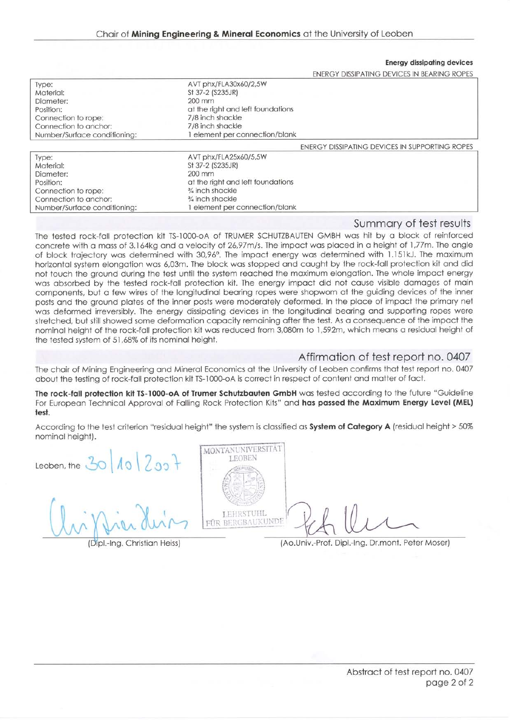Energy dissipofing devices

| ENERGY DISSIPATING DEVICES IN BEARING ROPES |  |
|---------------------------------------------|--|

| Type:                        | AVT phx/FLA30x60/2,5W                    |                                                |
|------------------------------|------------------------------------------|------------------------------------------------|
| Material:                    | St 37-2 (S235JR)                         |                                                |
| Diameter:                    | $200 \text{ mm}$                         |                                                |
| Position:                    | at the right and left foundations        |                                                |
| Connection to rope:          | 7/8 inch shackle                         |                                                |
| Connection to anchor:        | 7/8 inch shackle                         |                                                |
| Number/Surface conditioning: | element per connection/blank             |                                                |
|                              |                                          | ENERGY DISSIPATING DEVICES IN SUPPORTING ROPES |
| Type:                        | AVT phx/FLA25x60/5,5W                    |                                                |
| Material:                    | St 37-2 (S235JR)                         |                                                |
| Diameter:                    | $200$ mm                                 |                                                |
| Position:                    | at the right and left foundations        |                                                |
| Connection to rope:          | $\frac{3}{4}$ inch shackle               |                                                |
| Connection to anchor:        | <sup>3</sup> / <sub>4</sub> inch shackle |                                                |

Number/Surface conditioning: % inch shockle I element per connection/blonk

#### Summory of test results

The tested rock-foll profection kit TS-1000-oA of TRUMER SCHUTZBAUTEN GMBH wos hit by o block of reinforced concrete with a mass of 3.164kg and a velocity of 26,97m/s. The impact was placed in a height of 1,77m. The angle of block trajectory was determined with 30,96°. The impact energy was determined with 1.151kJ. The maximum horizontal system elongation was 6,03m. The block was stopped and caught by the rock-fall protection kit and did not touch the ground during the test until the system reached the maximum elongation. The whole impact energy wos obsorbed by the tesfed rock-foll protection kit. The energy impoct did not couse visible domoges of moin components, but o few wires of the longitudinol beoring ropes were shopworn st the guiding devices of the inner posts and the ground plates of the inner posts were moderately deformed. In the place of impact the primary net wos deformed ineversibly. The energy dissipoting devices in the longiludinol beoring ond supporting ropes were stretched, but still showed some deformation capacity remaining after the test. As a consequence of the impact the nominol height of the rock-foll protection kit wos reduced from 3,080m to 1,592m, which meons o residuql height of the tested system of 51,68% of its nominol height.

#### Affirmation of test report no. 0407

The chair of Mining Engineering and Mineral Economics at the University of Leoben confirms that test report no. 0407 about the testing of rock-fall protection kit TS-1000-oA is correct in respect of content and matter of fact.

The rock-fall protection kit TS-1000-oA of Trumer Schutzbauten GmbH was tested according to the future "Guideline For European Technical Approval of Falling Rock Protection Kits" and has passed the Maximum Energy Level (MEL) test.

According to the test criterion "residual height" the system is classified as System of Category A (residual height > 50% nominal height).

 $20|10|200$ Leoben, the  $30$   $10$   $20$ 

 $\sim$ er dein

(Dipl.-Ing. Christian Heiss)



{Ao.Univ.-Prof. Dipl.-lng. Dr.mont. Peter Moser)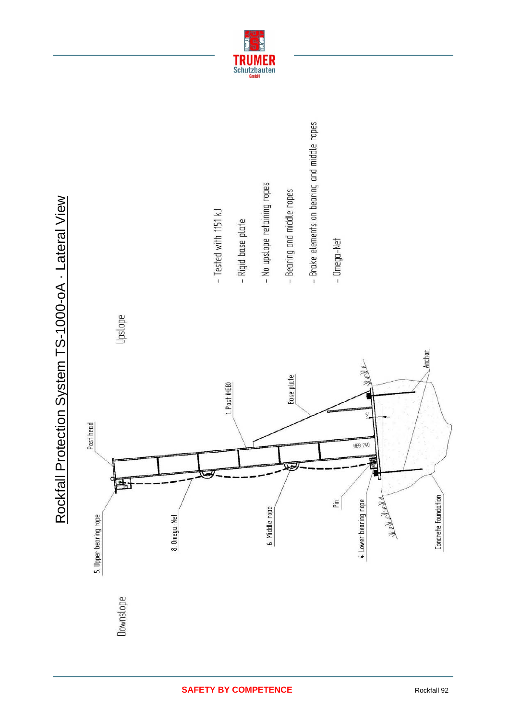